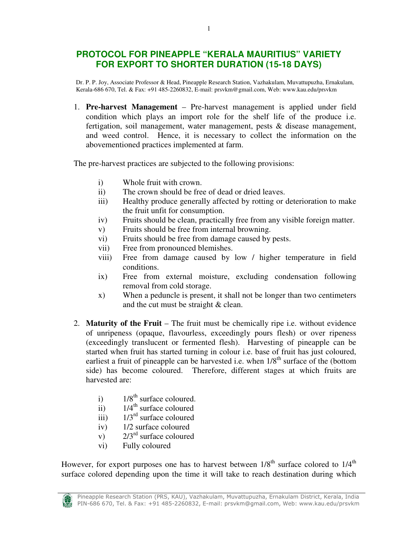# **PROTOCOL FOR PINEAPPLE "KERALA MAURITIUS" VARIETY FOR EXPORT TO SHORTER DURATION (15-18 DAYS)**

Dr. P. P. Joy, Associate Professor & Head, Pineapple Research Station, Vazhakulam, Muvattupuzha, Ernakulam, Kerala-686 670, Tel. & Fax: +91 485-2260832, E-mail: prsvkm@gmail.com, Web: www.kau.edu/prsvkm

1. **Pre-harvest Management** – Pre-harvest management is applied under field condition which plays an import role for the shelf life of the produce i.e. fertigation, soil management, water management, pests & disease management, and weed control. Hence, it is necessary to collect the information on the abovementioned practices implemented at farm.

The pre-harvest practices are subjected to the following provisions:

- i) Whole fruit with crown.
- ii) The crown should be free of dead or dried leaves.
- iii) Healthy produce generally affected by rotting or deterioration to make the fruit unfit for consumption.
- iv) Fruits should be clean, practically free from any visible foreign matter.
- v) Fruits should be free from internal browning.
- vi) Fruits should be free from damage caused by pests.
- vii) Free from pronounced blemishes.
- viii) Free from damage caused by low / higher temperature in field conditions.
- ix) Free from external moisture, excluding condensation following removal from cold storage.
- x) When a peduncle is present, it shall not be longer than two centimeters and the cut must be straight & clean.
- 2. **Maturity of the Fruit**  The fruit must be chemically ripe i.e. without evidence of unripeness (opaque, flavourless, exceedingly pours flesh) or over ripeness (exceedingly translucent or fermented flesh). Harvesting of pineapple can be started when fruit has started turning in colour i.e. base of fruit has just coloured, earliest a fruit of pineapple can be harvested i.e. when  $1/8<sup>th</sup>$  surface of the (bottom side) has become coloured. Therefore, different stages at which fruits are harvested are:
	- i)  $1/8^{th}$  surface coloured.
	- ii)  $1/4$ <sup>th</sup> surface coloured
	- iii)  $1/3^{rd}$  surface coloured
	- iv) 1/2 surface coloured
	- v)  $2/3^{rd}$  surface coloured
	- vi) Fully coloured

However, for export purposes one has to harvest between  $1/8<sup>th</sup>$  surface colored to  $1/4<sup>th</sup>$ surface colored depending upon the time it will take to reach destination during which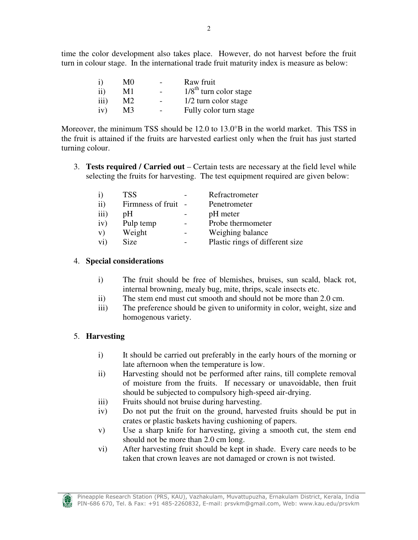| $\mathbf{i}$ | M0 | Raw fruit                |
|--------------|----|--------------------------|
| $\rm ii)$    | M1 | $1/8th$ turn color stage |
| iii)         | M2 | 1/2 turn color stage     |
| iv)          | M3 | Fully color turn stage   |

Moreover, the minimum TSS should be  $12.0$  to  $13.0^{\circ}B$  in the world market. This TSS in the fruit is attained if the fruits are harvested earliest only when the fruit has just started turning colour.

3. **Tests required / Carried out** – Certain tests are necessary at the field level while selecting the fruits for harvesting. The test equipment required are given below:

| $\mathbf{i}$ | <b>TSS</b>          | Refractrometer                  |
|--------------|---------------------|---------------------------------|
| $\rm ii)$    | Firmness of fruit - | Penetrometer                    |
| iii)         | pH                  | pH meter                        |
| iv)          | Pulp temp           | Probe thermometer               |
| V)           | Weight              | Weighing balance                |
| vi)          | Size                | Plastic rings of different size |

# 4. **Special considerations**

- i) The fruit should be free of blemishes, bruises, sun scald, black rot, internal browning, mealy bug, mite, thrips, scale insects etc.
- ii) The stem end must cut smooth and should not be more than 2.0 cm.
- iii) The preference should be given to uniformity in color, weight, size and homogenous variety.

# 5. **Harvesting**

- i) It should be carried out preferably in the early hours of the morning or late afternoon when the temperature is low.
- ii) Harvesting should not be performed after rains, till complete removal of moisture from the fruits. If necessary or unavoidable, then fruit should be subjected to compulsory high-speed air-drying.
- iii) Fruits should not bruise during harvesting.
- iv) Do not put the fruit on the ground, harvested fruits should be put in crates or plastic baskets having cushioning of papers.
- v) Use a sharp knife for harvesting, giving a smooth cut, the stem end should not be more than 2.0 cm long.
- vi) After harvesting fruit should be kept in shade. Every care needs to be taken that crown leaves are not damaged or crown is not twisted.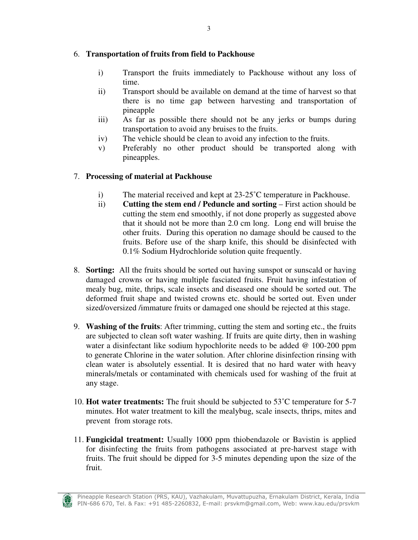#### 6. **Transportation of fruits from field to Packhouse**

- i) Transport the fruits immediately to Packhouse without any loss of time.
- ii) Transport should be available on demand at the time of harvest so that there is no time gap between harvesting and transportation of pineapple
- iii) As far as possible there should not be any jerks or bumps during transportation to avoid any bruises to the fruits.
- iv) The vehicle should be clean to avoid any infection to the fruits.
- v) Preferably no other product should be transported along with pineapples.

### 7. **Processing of material at Packhouse**

- i) The material received and kept at 23-25˚C temperature in Packhouse.
- ii) **Cutting the stem end / Peduncle and sorting First action should be** cutting the stem end smoothly, if not done properly as suggested above that it should not be more than 2.0 cm long. Long end will bruise the other fruits. During this operation no damage should be caused to the fruits. Before use of the sharp knife, this should be disinfected with 0.1% Sodium Hydrochloride solution quite frequently.
- 8. **Sorting:** All the fruits should be sorted out having sunspot or sunscald or having damaged crowns or having multiple fasciated fruits. Fruit having infestation of mealy bug, mite, thrips, scale insects and diseased one should be sorted out. The deformed fruit shape and twisted crowns etc. should be sorted out. Even under sized/oversized /immature fruits or damaged one should be rejected at this stage.
- 9. **Washing of the fruits**: After trimming, cutting the stem and sorting etc., the fruits are subjected to clean soft water washing. If fruits are quite dirty, then in washing water a disinfectant like sodium hypochlorite needs to be added @ 100-200 ppm to generate Chlorine in the water solution. After chlorine disinfection rinsing with clean water is absolutely essential. It is desired that no hard water with heavy minerals/metals or contaminated with chemicals used for washing of the fruit at any stage.
- 10. **Hot water treatments:** The fruit should be subjected to 53˚C temperature for 5-7 minutes. Hot water treatment to kill the mealybug, scale insects, thrips, mites and prevent from storage rots.
- 11. **Fungicidal treatment:** Usually 1000 ppm thiobendazole or Bavistin is applied for disinfecting the fruits from pathogens associated at pre-harvest stage with fruits. The fruit should be dipped for 3-5 minutes depending upon the size of the fruit.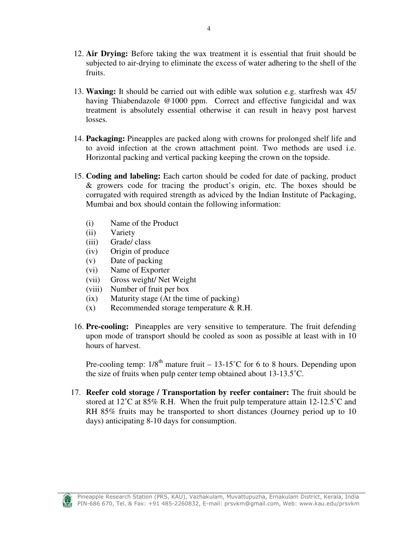- 12. **Air Drying:** Before taking the wax treatment it is essential that fruit should be subjected to air-drying to eliminate the excess of water adhering to the shell of the fruits.
- 13. **Waxing:** It should be carried out with edible wax solution e.g. starfresh wax 45/ having Thiabendazole @1000 ppm. Correct and effective fungicidal and wax treatment is absolutely essential otherwise it can result in heavy post harvest losses.
- 14. **Packaging:** Pineapples are packed along with crowns for prolonged shelf life and to avoid infection at the crown attachment point. Two methods are used i.e. Horizontal packing and vertical packing keeping the crown on the topside.
- 15. **Coding and labeling:** Each carton should be coded for date of packing, product & growers code for tracing the product's origin, etc. The boxes should be corrugated with required strength as adviced by the Indian Institute of Packaging, Mumbai and box should contain the following information:
	- (i) Name of the Product
	- (ii) Variety
	- (iii) Grade/ class
	- (iv) Origin of produce
	- (v) Date of packing
	- (vi) Name of Exporter
	- (vii) Gross weight/ Net Weight
	- (viii) Number of fruit per box
	- (ix) Maturity stage (At the time of packing)
	- (x) Recommended storage temperature & R.H.
- 16. **Pre-cooling:** Pineapples are very sensitive to temperature. The fruit defending upon mode of transport should be cooled as soon as possible at least with in 10 hours of harvest.

Pre-cooling temp:  $1/8^{th}$  mature fruit – 13-15°C for 6 to 8 hours. Depending upon the size of fruits when pulp center temp obtained about 13-13.5˚C.

17. **Reefer cold storage / Transportation by reefer container:** The fruit should be stored at 12<sup>°</sup>C at 85% R.H. When the fruit pulp temperature attain 12-12.5<sup>°</sup>C and RH 85% fruits may be transported to short distances (Journey period up to 10 days) anticipating 8-10 days for consumption.

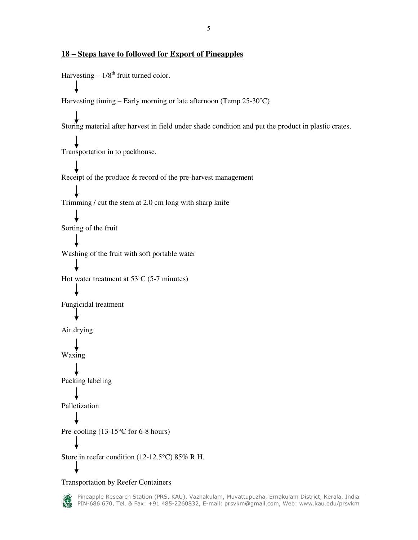#### **18 – Steps have to followed for Export of Pineapples**

Harvesting  $-1/8^{th}$  fruit turned color. Harvesting timing – Early morning or late afternoon (Temp 25-30˚C) Storing material after harvest in field under shade condition and put the product in plastic crates. Transportation in to packhouse. Receipt of the produce & record of the pre-harvest management Trimming / cut the stem at 2.0 cm long with sharp knife Sorting of the fruit Washing of the fruit with soft portable water Hot water treatment at 53˚C (5-7 minutes) Fungicidal treatment Air drying Waxing Packing labeling Palletization Pre-cooling (13-15<sup>o</sup>C for 6-8 hours) Store in reefer condition (12-12.5°C) 85% R.H.

Transportation by Reefer Containers